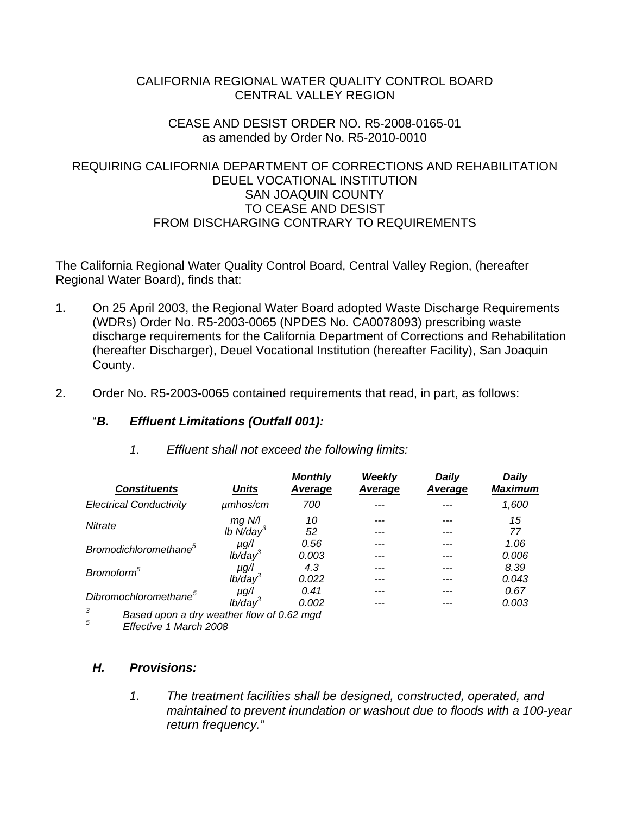### CALIFORNIA REGIONAL WATER QUALITY CONTROL BOARD CENTRAL VALLEY REGION

### CEASE AND DESIST ORDER NO. R5-2008-0165-01 as amended by Order No. R5-2010-0010

### REQUIRING CALIFORNIA DEPARTMENT OF CORRECTIONS AND REHABILITATION DEUEL VOCATIONAL INSTITUTION SAN JOAQUIN COUNTY TO CEASE AND DESIST FROM DISCHARGING CONTRARY TO REQUIREMENTS

The California Regional Water Quality Control Board, Central Valley Region, (hereafter Regional Water Board), finds that:

- 1. On 25 April 2003, the Regional Water Board adopted Waste Discharge Requirements (WDRs) Order No. R5-2003-0065 (NPDES No. CA0078093) prescribing waste discharge requirements for the California Department of Corrections and Rehabilitation (hereafter Discharger), Deuel Vocational Institution (hereafter Facility), San Joaquin County.
- 2. Order No. R5-2003-0065 contained requirements that read, in part, as follows:

## "*B. Effluent Limitations (Outfall 001):*

| <b>Constituents</b>                            | <b>Units</b>            | <b>Monthly</b><br>Average | Weekly<br>Average | <b>Daily</b><br>Average | <b>Daily</b><br><b>Maximum</b> |
|------------------------------------------------|-------------------------|---------------------------|-------------------|-------------------------|--------------------------------|
| <b>Electrical Conductivity</b>                 | $\mu$ mhos/cm           | 700                       |                   |                         | 1,600                          |
| Nitrate                                        | $mg$ N/I                | 10                        |                   |                         | 15                             |
|                                                | Ib $N/day^3$            | 52                        |                   |                         | 77                             |
| Bromodichloromethane <sup>5</sup>              | $\mu$ g/l               | 0.56                      |                   |                         | 1.06                           |
|                                                | $lb$ /day <sup>3</sup>  | 0.003                     |                   |                         | 0.006                          |
| Bromoform <sup>5</sup>                         | µg/l                    | 4.3                       |                   |                         | 8.39                           |
|                                                | $lb$ /day $3$           | 0.022                     |                   |                         | 0.043                          |
| Dibromochloromethane <sup>5</sup>              | $\mu$ g/l               | 0.41                      |                   |                         | 0.67                           |
|                                                | $I\dot{b}/\text{day}^3$ | 0.002                     |                   |                         | 0.003                          |
| 3<br>Based upon a dry weather flow of 0.62 mgd |                         |                           |                   |                         |                                |

 *1. Effluent shall not exceed the following limits:* 

*5 Effective 1 March 2008* 

# *H. Provisions:*

*1. The treatment facilities shall be designed, constructed, operated, and maintained to prevent inundation or washout due to floods with a 100-year return frequency."*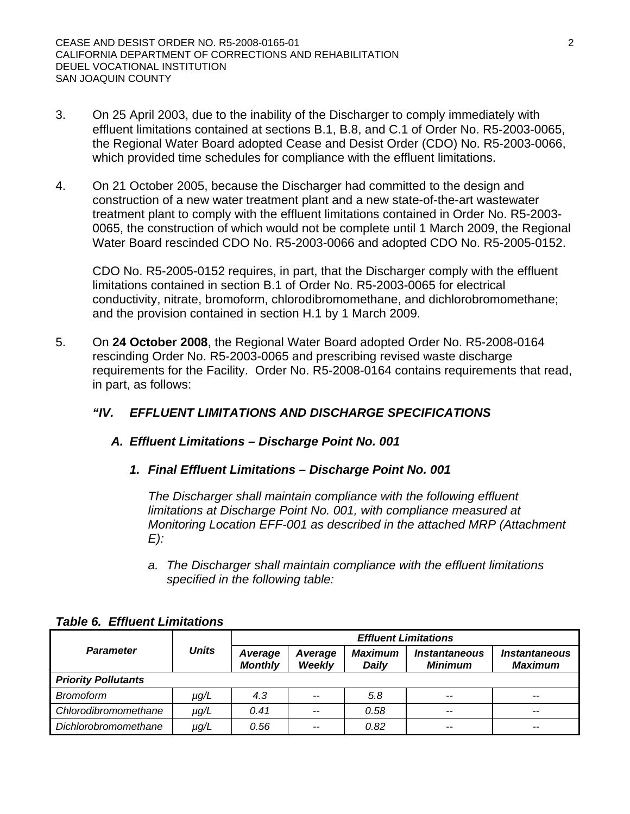- 3. On 25 April 2003, due to the inability of the Discharger to comply immediately with effluent limitations contained at sections B.1, B.8, and C.1 of Order No. R5-2003-0065, the Regional Water Board adopted Cease and Desist Order (CDO) No. R5-2003-0066, which provided time schedules for compliance with the effluent limitations.
- 4. On 21 October 2005, because the Discharger had committed to the design and construction of a new water treatment plant and a new state-of-the-art wastewater treatment plant to comply with the effluent limitations contained in Order No. R5-2003- 0065, the construction of which would not be complete until 1 March 2009, the Regional Water Board rescinded CDO No. R5-2003-0066 and adopted CDO No. R5-2005-0152.

CDO No. R5-2005-0152 requires, in part, that the Discharger comply with the effluent limitations contained in section B.1 of Order No. R5-2003-0065 for electrical conductivity, nitrate, bromoform, chlorodibromomethane, and dichlorobromomethane; and the provision contained in section H.1 by 1 March 2009.

5. On **24 October 2008**, the Regional Water Board adopted Order No. R5-2008-0164 rescinding Order No. R5-2003-0065 and prescribing revised waste discharge requirements for the Facility. Order No. R5-2008-0164 contains requirements that read, in part, as follows:

# *"IV. EFFLUENT LIMITATIONS AND DISCHARGE SPECIFICATIONS*

## *A. Effluent Limitations – Discharge Point No. 001*

*1. Final Effluent Limitations – Discharge Point No. 001* 

*The Discharger shall maintain compliance with the following effluent limitations at Discharge Point No. 001, with compliance measured at Monitoring Location EFF-001 as described in the attached MRP (Attachment E):* 

*a. The Discharger shall maintain compliance with the effluent limitations specified in the following table:* 

|                            | <b>Units</b> | <b>Effluent Limitations</b> |                   |                                |                                               |                                               |  |
|----------------------------|--------------|-----------------------------|-------------------|--------------------------------|-----------------------------------------------|-----------------------------------------------|--|
| <b>Parameter</b>           |              | Average<br><b>Monthly</b>   | Average<br>Weekly | <b>Maximum</b><br><b>Daily</b> | <i><b>Instantaneous</b></i><br><b>Minimum</b> | <i><b>Instantaneous</b></i><br><b>Maximum</b> |  |
| <b>Priority Pollutants</b> |              |                             |                   |                                |                                               |                                               |  |
| <b>Bromoform</b>           | µg/L         | 4.3                         | --                | 5.8                            | $\overline{\phantom{m}}$                      | $-$                                           |  |
| Chlorodibromomethane       | $\mu$ g/L    | 0.41                        | $- -$             | 0.58                           | $-$                                           | $-$                                           |  |
| Dichlorobromomethane       | µg/L         | 0.56                        | --                | 0.82                           | --                                            | $- -$                                         |  |

#### *Table 6. Effluent Limitations*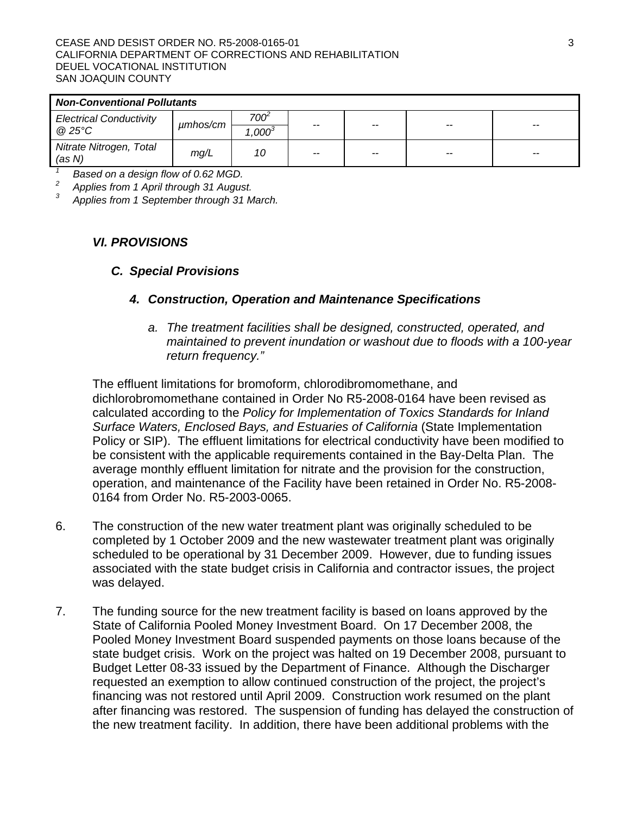| <b>Non-Conventional Pollutants</b> |          |                   |       |       |    |       |
|------------------------------------|----------|-------------------|-------|-------|----|-------|
| <b>Electrical Conductivity</b>     | umhos/cm | 700 <sup>-</sup>  | $-$   | $- -$ | -- | $-$   |
| @25°C                              |          | .000 <sup>3</sup> |       |       |    |       |
| Nitrate Nitrogen, Total<br>(as N)  | mg/L     | 10                | $- -$ | $- -$ | -- | $- -$ |

*1 Based on a design flow of 0.62 MGD.* 

*2 Applies from 1 April through 31 August.* 

*3 Applies from 1 September through 31 March.* 

### *VI. PROVISIONS*

#### *C. Special Provisions*

### *4. Construction, Operation and Maintenance Specifications*

*a. The treatment facilities shall be designed, constructed, operated, and maintained to prevent inundation or washout due to floods with a 100-year return frequency."* 

The effluent limitations for bromoform, chlorodibromomethane, and dichlorobromomethane contained in Order No R5-2008-0164 have been revised as calculated according to the *Policy for Implementation of Toxics Standards for Inland Surface Waters, Enclosed Bays, and Estuaries of California* (State Implementation Policy or SIP). The effluent limitations for electrical conductivity have been modified to be consistent with the applicable requirements contained in the Bay-Delta Plan. The average monthly effluent limitation for nitrate and the provision for the construction, operation, and maintenance of the Facility have been retained in Order No. R5-2008- 0164 from Order No. R5-2003-0065.

- 6. The construction of the new water treatment plant was originally scheduled to be completed by 1 October 2009 and the new wastewater treatment plant was originally scheduled to be operational by 31 December 2009. However, due to funding issues associated with the state budget crisis in California and contractor issues, the project was delayed.
- 7. The funding source for the new treatment facility is based on loans approved by the State of California Pooled Money Investment Board. On 17 December 2008, the Pooled Money Investment Board suspended payments on those loans because of the state budget crisis. Work on the project was halted on 19 December 2008, pursuant to Budget Letter 08-33 issued by the Department of Finance. Although the Discharger requested an exemption to allow continued construction of the project, the project's financing was not restored until April 2009. Construction work resumed on the plant after financing was restored. The suspension of funding has delayed the construction of the new treatment facility. In addition, there have been additional problems with the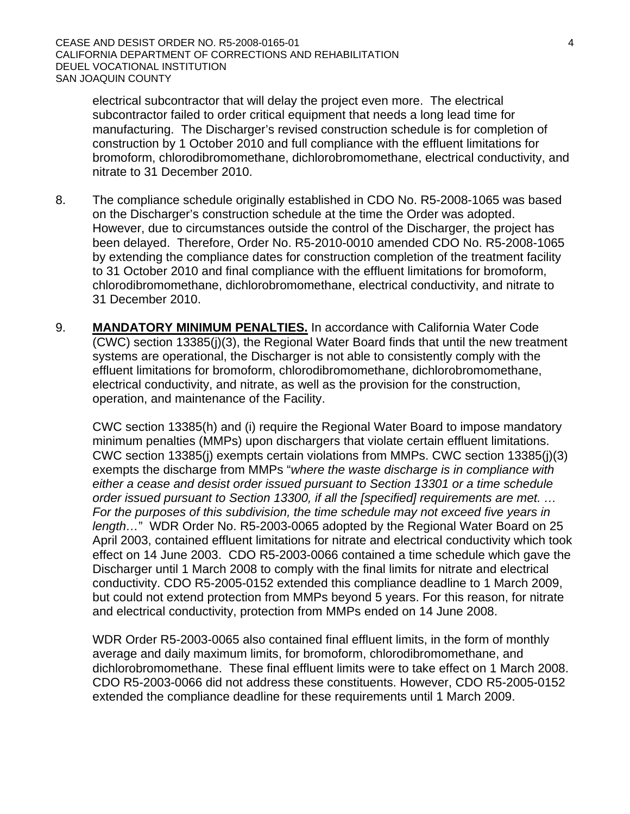electrical subcontractor that will delay the project even more. The electrical subcontractor failed to order critical equipment that needs a long lead time for manufacturing. The Discharger's revised construction schedule is for completion of construction by 1 October 2010 and full compliance with the effluent limitations for bromoform, chlorodibromomethane, dichlorobromomethane, electrical conductivity, and nitrate to 31 December 2010.

- 8. The compliance schedule originally established in CDO No. R5-2008-1065 was based on the Discharger's construction schedule at the time the Order was adopted. However, due to circumstances outside the control of the Discharger, the project has been delayed. Therefore, Order No. R5-2010-0010 amended CDO No. R5-2008-1065 by extending the compliance dates for construction completion of the treatment facility to 31 October 2010 and final compliance with the effluent limitations for bromoform, chlorodibromomethane, dichlorobromomethane, electrical conductivity, and nitrate to 31 December 2010.
- 9. **MANDATORY MINIMUM PENALTIES.** In accordance with California Water Code (CWC) section 13385(j)(3), the Regional Water Board finds that until the new treatment systems are operational, the Discharger is not able to consistently comply with the effluent limitations for bromoform, chlorodibromomethane, dichlorobromomethane, electrical conductivity, and nitrate, as well as the provision for the construction, operation, and maintenance of the Facility.

CWC section 13385(h) and (i) require the Regional Water Board to impose mandatory minimum penalties (MMPs) upon dischargers that violate certain effluent limitations. CWC section 13385(j) exempts certain violations from MMPs. CWC section 13385(j)(3) exempts the discharge from MMPs "*where the waste discharge is in compliance with either a cease and desist order issued pursuant to Section 13301 or a time schedule order issued pursuant to Section 13300, if all the [specified] requirements are met. … For the purposes of this subdivision, the time schedule may not exceed five years in length…*" WDR Order No. R5-2003-0065 adopted by the Regional Water Board on 25 April 2003, contained effluent limitations for nitrate and electrical conductivity which took effect on 14 June 2003. CDO R5-2003-0066 contained a time schedule which gave the Discharger until 1 March 2008 to comply with the final limits for nitrate and electrical conductivity. CDO R5-2005-0152 extended this compliance deadline to 1 March 2009, but could not extend protection from MMPs beyond 5 years. For this reason, for nitrate and electrical conductivity, protection from MMPs ended on 14 June 2008.

WDR Order R5-2003-0065 also contained final effluent limits, in the form of monthly average and daily maximum limits, for bromoform, chlorodibromomethane, and dichlorobromomethane. These final effluent limits were to take effect on 1 March 2008. CDO R5-2003-0066 did not address these constituents. However, CDO R5-2005-0152 extended the compliance deadline for these requirements until 1 March 2009.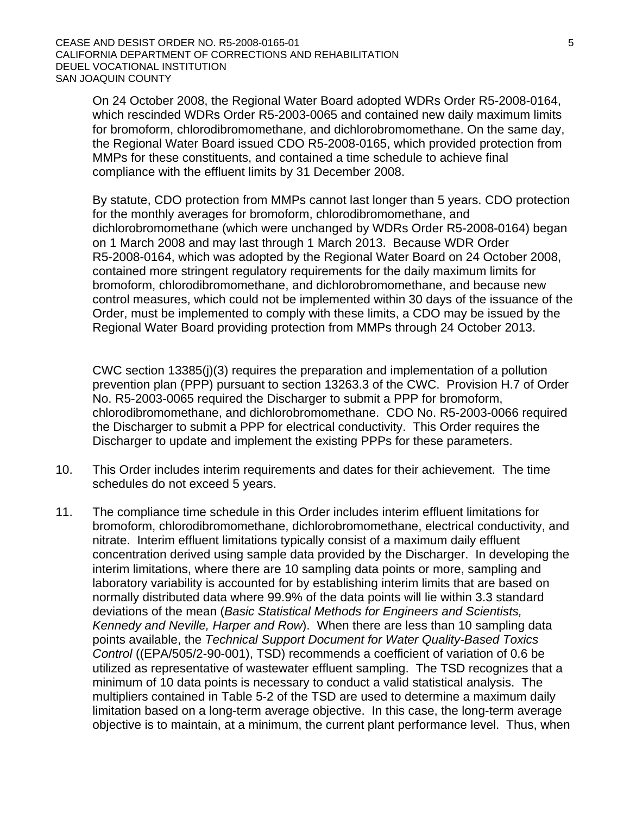On 24 October 2008, the Regional Water Board adopted WDRs Order R5-2008-0164, which rescinded WDRs Order R5-2003-0065 and contained new daily maximum limits for bromoform, chlorodibromomethane, and dichlorobromomethane. On the same day, the Regional Water Board issued CDO R5-2008-0165, which provided protection from MMPs for these constituents, and contained a time schedule to achieve final compliance with the effluent limits by 31 December 2008.

By statute, CDO protection from MMPs cannot last longer than 5 years. CDO protection for the monthly averages for bromoform, chlorodibromomethane, and dichlorobromomethane (which were unchanged by WDRs Order R5-2008-0164) began on 1 March 2008 and may last through 1 March 2013. Because WDR Order R5-2008-0164, which was adopted by the Regional Water Board on 24 October 2008, contained more stringent regulatory requirements for the daily maximum limits for bromoform, chlorodibromomethane, and dichlorobromomethane, and because new control measures, which could not be implemented within 30 days of the issuance of the Order, must be implemented to comply with these limits, a CDO may be issued by the Regional Water Board providing protection from MMPs through 24 October 2013.

CWC section 13385(j)(3) requires the preparation and implementation of a pollution prevention plan (PPP) pursuant to section 13263.3 of the CWC. Provision H.7 of Order No. R5-2003-0065 required the Discharger to submit a PPP for bromoform, chlorodibromomethane, and dichlorobromomethane. CDO No. R5-2003-0066 required the Discharger to submit a PPP for electrical conductivity. This Order requires the Discharger to update and implement the existing PPPs for these parameters.

- 10. This Order includes interim requirements and dates for their achievement. The time schedules do not exceed 5 years.
- 11. The compliance time schedule in this Order includes interim effluent limitations for bromoform, chlorodibromomethane, dichlorobromomethane, electrical conductivity, and nitrate. Interim effluent limitations typically consist of a maximum daily effluent concentration derived using sample data provided by the Discharger. In developing the interim limitations, where there are 10 sampling data points or more, sampling and laboratory variability is accounted for by establishing interim limits that are based on normally distributed data where 99.9% of the data points will lie within 3.3 standard deviations of the mean (*Basic Statistical Methods for Engineers and Scientists, Kennedy and Neville, Harper and Row*). When there are less than 10 sampling data points available, the *Technical Support Document for Water Quality-Based Toxics Control* ((EPA/505/2-90-001), TSD) recommends a coefficient of variation of 0.6 be utilized as representative of wastewater effluent sampling. The TSD recognizes that a minimum of 10 data points is necessary to conduct a valid statistical analysis. The multipliers contained in Table 5-2 of the TSD are used to determine a maximum daily limitation based on a long-term average objective. In this case, the long-term average objective is to maintain, at a minimum, the current plant performance level. Thus, when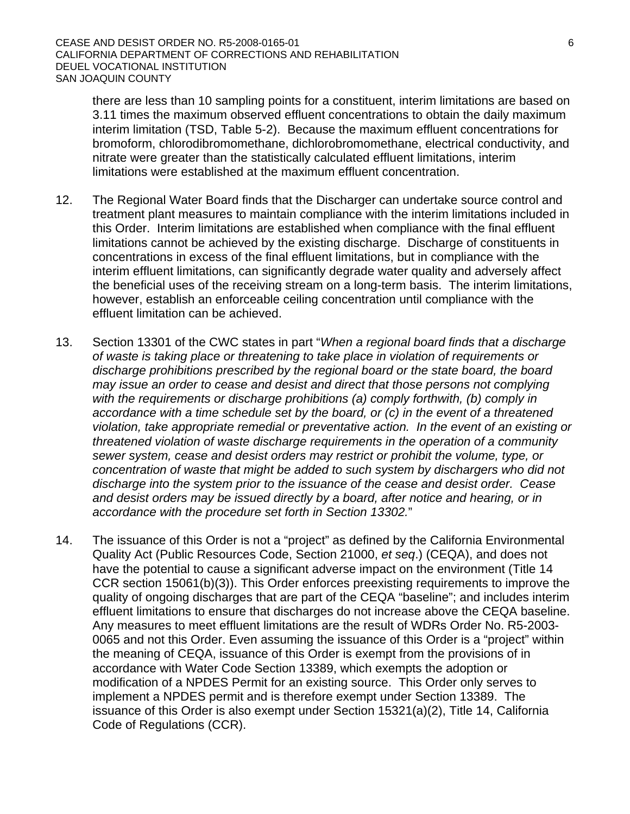there are less than 10 sampling points for a constituent, interim limitations are based on 3.11 times the maximum observed effluent concentrations to obtain the daily maximum interim limitation (TSD, Table 5-2). Because the maximum effluent concentrations for bromoform, chlorodibromomethane, dichlorobromomethane, electrical conductivity, and nitrate were greater than the statistically calculated effluent limitations, interim limitations were established at the maximum effluent concentration.

- 12. The Regional Water Board finds that the Discharger can undertake source control and treatment plant measures to maintain compliance with the interim limitations included in this Order. Interim limitations are established when compliance with the final effluent limitations cannot be achieved by the existing discharge. Discharge of constituents in concentrations in excess of the final effluent limitations, but in compliance with the interim effluent limitations, can significantly degrade water quality and adversely affect the beneficial uses of the receiving stream on a long-term basis. The interim limitations, however, establish an enforceable ceiling concentration until compliance with the effluent limitation can be achieved.
- 13. Section 13301 of the CWC states in part "*When a regional board finds that a discharge of waste is taking place or threatening to take place in violation of requirements or discharge prohibitions prescribed by the regional board or the state board, the board may issue an order to cease and desist and direct that those persons not complying with the requirements or discharge prohibitions (a) comply forthwith, (b) comply in accordance with a time schedule set by the board, or (c) in the event of a threatened violation, take appropriate remedial or preventative action. In the event of an existing or threatened violation of waste discharge requirements in the operation of a community sewer system, cease and desist orders may restrict or prohibit the volume, type, or concentration of waste that might be added to such system by dischargers who did not discharge into the system prior to the issuance of the cease and desist order. Cease and desist orders may be issued directly by a board, after notice and hearing, or in accordance with the procedure set forth in Section 13302.*"
- 14. The issuance of this Order is not a "project" as defined by the California Environmental Quality Act (Public Resources Code, Section 21000, *et seq*.) (CEQA), and does not have the potential to cause a significant adverse impact on the environment (Title 14 CCR section 15061(b)(3)). This Order enforces preexisting requirements to improve the quality of ongoing discharges that are part of the CEQA "baseline"; and includes interim effluent limitations to ensure that discharges do not increase above the CEQA baseline. Any measures to meet effluent limitations are the result of WDRs Order No. R5-2003- 0065 and not this Order. Even assuming the issuance of this Order is a "project" within the meaning of CEQA, issuance of this Order is exempt from the provisions of in accordance with Water Code Section 13389, which exempts the adoption or modification of a NPDES Permit for an existing source. This Order only serves to implement a NPDES permit and is therefore exempt under Section 13389. The issuance of this Order is also exempt under Section 15321(a)(2), Title 14, California Code of Regulations (CCR).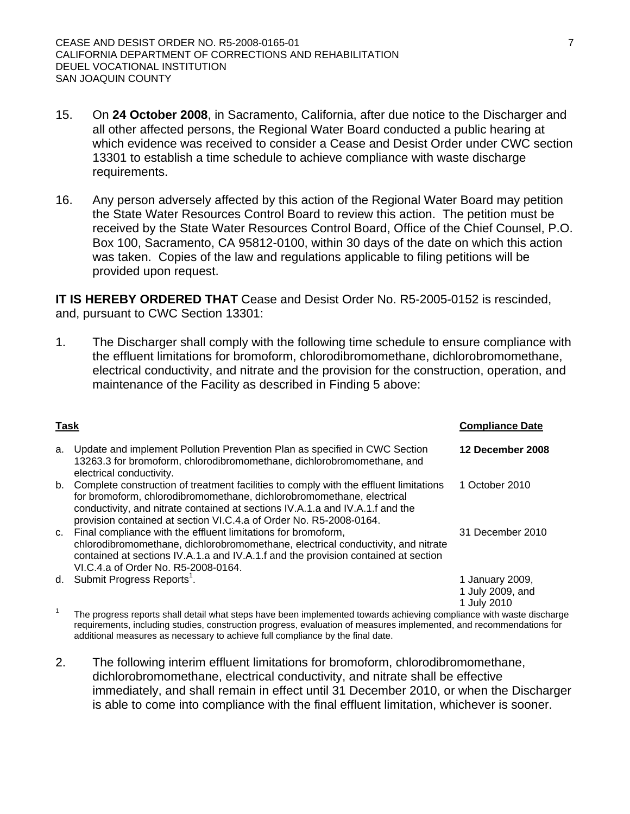- 15. On **24 October 2008**, in Sacramento, California, after due notice to the Discharger and all other affected persons, the Regional Water Board conducted a public hearing at which evidence was received to consider a Cease and Desist Order under CWC section 13301 to establish a time schedule to achieve compliance with waste discharge requirements.
- 16. Any person adversely affected by this action of the Regional Water Board may petition the State Water Resources Control Board to review this action. The petition must be received by the State Water Resources Control Board, Office of the Chief Counsel, P.O. Box 100, Sacramento, CA 95812-0100, within 30 days of the date on which this action was taken. Copies of the law and regulations applicable to filing petitions will be provided upon request.

**IT IS HEREBY ORDERED THAT** Cease and Desist Order No. R5-2005-0152 is rescinded, and, pursuant to CWC Section 13301:

1. The Discharger shall comply with the following time schedule to ensure compliance with the effluent limitations for bromoform, chlorodibromomethane, dichlorobromomethane, electrical conductivity, and nitrate and the provision for the construction, operation, and maintenance of the Facility as described in Finding 5 above:

| <b>Task</b> |                                                                                                                                                                                                                                                                                                                       | <b>Compliance Date</b>                             |
|-------------|-----------------------------------------------------------------------------------------------------------------------------------------------------------------------------------------------------------------------------------------------------------------------------------------------------------------------|----------------------------------------------------|
| a.          | Update and implement Pollution Prevention Plan as specified in CWC Section<br>13263.3 for bromoform, chlorodibromomethane, dichlorobromomethane, and<br>electrical conductivity.                                                                                                                                      | 12 December 2008                                   |
| b.          | Complete construction of treatment facilities to comply with the effluent limitations<br>for bromoform, chlorodibromomethane, dichlorobromomethane, electrical<br>conductivity, and nitrate contained at sections IV.A.1.a and IV.A.1.f and the<br>provision contained at section VI.C.4.a of Order No. R5-2008-0164. | 1 October 2010                                     |
| C.          | Final compliance with the effluent limitations for bromoform,<br>chlorodibromomethane, dichlorobromomethane, electrical conductivity, and nitrate<br>contained at sections IV.A.1.a and IV.A.1.f and the provision contained at section<br>VI.C.4.a of Order No. R5-2008-0164.                                        | 31 December 2010                                   |
|             | d. Submit Progress Reports <sup>1</sup> .                                                                                                                                                                                                                                                                             | 1 January 2009,<br>1 July 2009, and<br>1 July 2010 |
|             | The progress reports shall detail what steps have been implemented towards achieving compliance with waste discharge                                                                                                                                                                                                  |                                                    |

requirements, including studies, construction progress, evaluation of measures implemented, and recommendations for additional measures as necessary to achieve full compliance by the final date.

2. The following interim effluent limitations for bromoform, chlorodibromomethane, dichlorobromomethane, electrical conductivity, and nitrate shall be effective immediately, and shall remain in effect until 31 December 2010, or when the Discharger is able to come into compliance with the final effluent limitation, whichever is sooner.